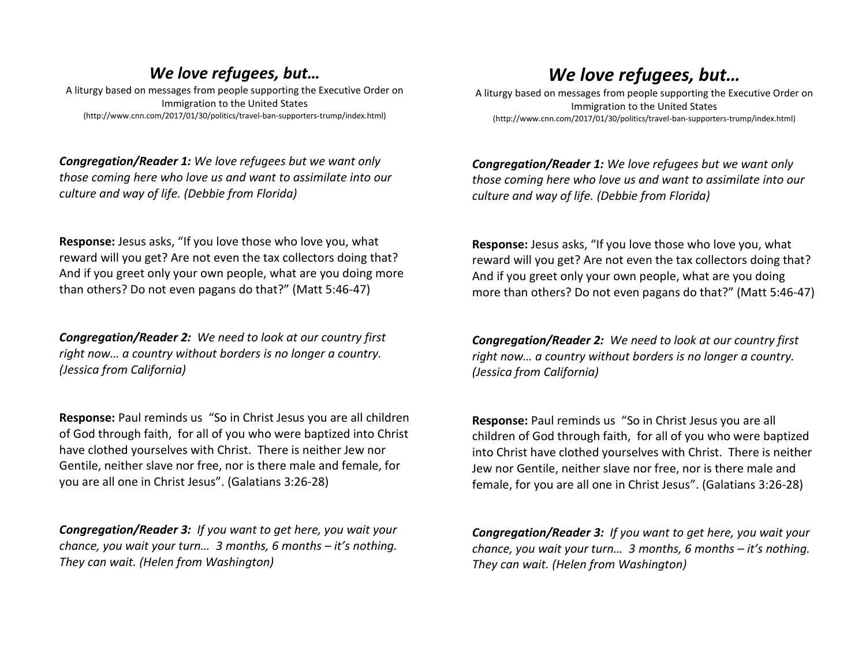## *We love refugees, but…*

A liturgy based on messages from people supporting the Executive Order on Immigration to the United States (http://www.cnn.com/2017/01/30/politics/travel-ban-supporters-trump/index.html)

*Congregation/Reader 1: We love refugees but we want only those coming here who love us and want to assimilate into our culture and way of life. (Debbie from Florida)* 

**Response:** Jesus asks, "If you love those who love you, what reward will you get? Are not even the tax collectors doing that? And if you greet only your own people, what are you doing more than others? Do not even pagans do that?" (Matt 5:46-47)

*Congregation/Reader 2: We need to look at our country first right now… a country without borders is no longer a country. (Jessica from California)* 

**Response:** Paul reminds us "So in Christ Jesus you are all children of God through faith, for all of you who were baptized into Christ have clothed yourselves with Christ. There is neither Jew nor Gentile, neither slave nor free, nor is there male and female, for you are all one in Christ Jesus". (Galatians 3:26-28)

*Congregation/Reader 3: If you want to get here, you wait your chance, you wait your turn...* 3 months, 6 months – *it's nothing. They can wait. (Helen from Washington)* 

## *We love refugees, but…*

A liturgy based on messages from people supporting the Executive Order on Immigration to the United States (http://www.cnn.com/2017/01/30/politics/travel-ban-supporters-trump/index.html)

*Congregation/Reader 1: We love refugees but we want only those coming here who love us and want to assimilate into our culture and way of life. (Debbie from Florida)* 

**Response:** Jesus asks, "If you love those who love you, what reward will you get? Are not even the tax collectors doing that? And if you greet only your own people, what are you doing more than others? Do not even pagans do that?" (Matt 5:46-47)

*Congregation/Reader 2: We need to look at our country first right now… a country without borders is no longer a country. (Jessica from California)* 

**Response:** Paul reminds us "So in Christ Jesus you are all children of God through faith, for all of you who were baptized into Christ have clothed yourselves with Christ. There is neither Jew nor Gentile, neither slave nor free, nor is there male and female, for you are all one in Christ Jesus". (Galatians 3:26-28)

*Congregation/Reader 3: If you want to get here, you wait your chance, you wait your turn...* 3 months, 6 months – *it's nothing. They can wait. (Helen from Washington)*